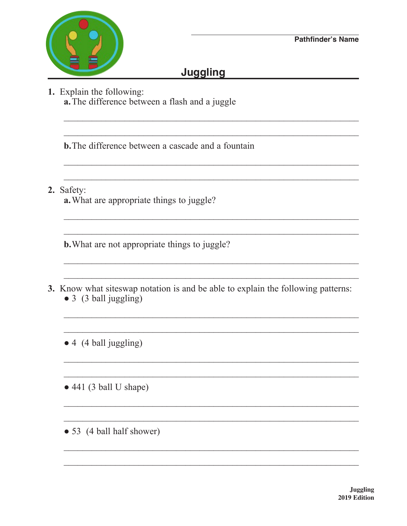

## **Juggling**

1. Explain the following: a. The difference between a flash and a juggle

**b.** The difference between a cascade and a fountain

2. Safety:

a. What are appropriate things to juggle?

**b.** What are not appropriate things to juggle?

- 3. Know what sites wap notation is and be able to explain the following patterns:  $\bullet$  3 (3 ball juggling)
	- $\bullet$  4 (4 ball juggling)

 $\bullet$  441 (3 ball U shape)

• 53 (4 ball half shower)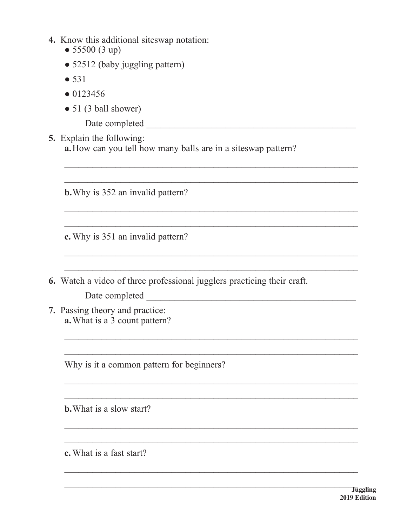- 4. Know this additional siteswap notation:
	- $\bullet$  55500 (3 up)
	- 52512 (baby juggling pattern)
	- $531$
	- $\bullet$  0123456
	- $\bullet$  51 (3 ball shower)

**5.** Explain the following: a. How can you tell how many balls are in a siteswap pattern?

**b.** Why is 352 an invalid pattern?

c. Why is 351 an invalid pattern?

6. Watch a video of three professional jugglers practicing their craft.

7. Passing theory and practice: a. What is a 3 count pattern?

Why is it a common pattern for beginners?

**b.** What is a slow start?

c. What is a fast start?